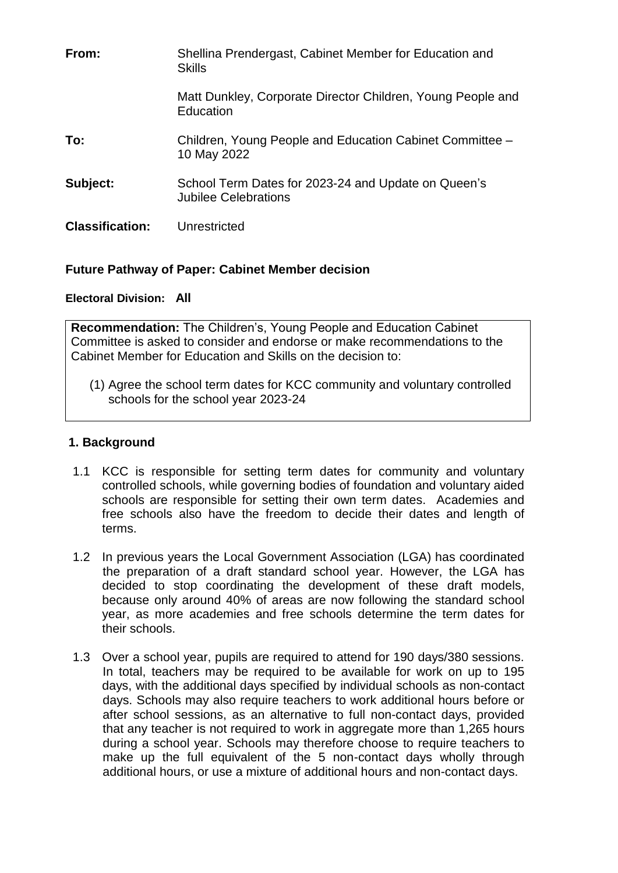| From:                  | Shellina Prendergast, Cabinet Member for Education and<br><b>Skills</b>     |
|------------------------|-----------------------------------------------------------------------------|
|                        | Matt Dunkley, Corporate Director Children, Young People and<br>Education    |
| To:                    | Children, Young People and Education Cabinet Committee -<br>10 May 2022     |
| Subject:               | School Term Dates for 2023-24 and Update on Queen's<br>Jubilee Celebrations |
| <b>Classification:</b> | Unrestricted                                                                |

# **Future Pathway of Paper: Cabinet Member decision**

# **Electoral Division: All**

**Recommendation:** The Children's, Young People and Education Cabinet Committee is asked to consider and endorse or make recommendations to the Cabinet Member for Education and Skills on the decision to:

(1) Agree the school term dates for KCC community and voluntary controlled schools for the school year 2023-24

# **1. Background**

- 1.1 KCC is responsible for setting term dates for community and voluntary controlled schools, while governing bodies of foundation and voluntary aided schools are responsible for setting their own term dates. Academies and free schools also have the freedom to decide their dates and length of terms.
- 1.2 In previous years the Local Government Association (LGA) has coordinated the preparation of a draft standard school year. However, the LGA has decided to stop coordinating the development of these draft models, because only around 40% of areas are now following the standard school year, as more academies and free schools determine the term dates for their schools.
- 1.3 Over a school year, pupils are required to attend for 190 days/380 sessions. In total, teachers may be required to be available for work on up to 195 days, with the additional days specified by individual schools as non-contact days. Schools may also require teachers to work additional hours before or after school sessions, as an alternative to full non-contact days, provided that any teacher is not required to work in aggregate more than 1,265 hours during a school year. Schools may therefore choose to require teachers to make up the full equivalent of the 5 non-contact days wholly through additional hours, or use a mixture of additional hours and non-contact days.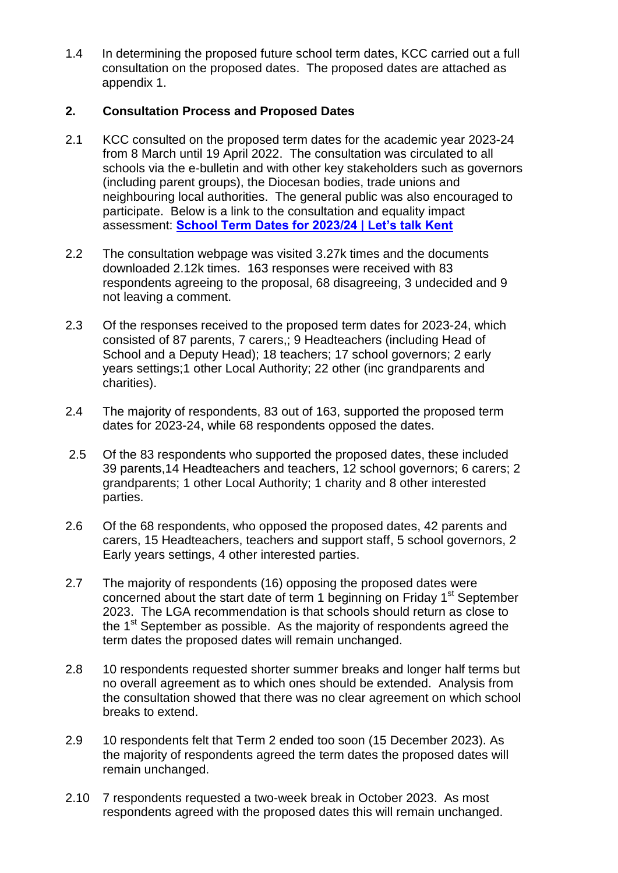1.4 In determining the proposed future school term dates, KCC carried out a full consultation on the proposed dates. The proposed dates are attached as appendix 1.

# **2. Consultation Process and Proposed Dates**

- 2.1 KCC consulted on the proposed term dates for the academic year 2023-24 from 8 March until 19 April 2022. The consultation was circulated to all schools via the e-bulletin and with other key stakeholders such as governors (including parent groups), the Diocesan bodies, trade unions and neighbouring local authorities. The general public was also encouraged to participate. Below is a link to the consultation and equality impact assessment: **[School Term Dates for 2023/24 | Let's talk Kent](https://letstalk.kent.gov.uk/schooltermdates23-24)**
- 2.2 The consultation webpage was visited 3.27k times and the documents downloaded 2.12k times. 163 responses were received with 83 respondents agreeing to the proposal, 68 disagreeing, 3 undecided and 9 not leaving a comment.
- 2.3 Of the responses received to the proposed term dates for 2023-24, which consisted of 87 parents, 7 carers,; 9 Headteachers (including Head of School and a Deputy Head); 18 teachers; 17 school governors; 2 early years settings;1 other Local Authority; 22 other (inc grandparents and charities).
- 2.4 The majority of respondents, 83 out of 163, supported the proposed term dates for 2023-24, while 68 respondents opposed the dates.
- 2.5 Of the 83 respondents who supported the proposed dates, these included 39 parents,14 Headteachers and teachers, 12 school governors; 6 carers; 2 grandparents; 1 other Local Authority; 1 charity and 8 other interested parties.
- 2.6 Of the 68 respondents, who opposed the proposed dates, 42 parents and carers, 15 Headteachers, teachers and support staff, 5 school governors, 2 Early years settings, 4 other interested parties.
- 2.7 The majority of respondents (16) opposing the proposed dates were concerned about the start date of term 1 beginning on Friday 1<sup>st</sup> September 2023. The LGA recommendation is that schools should return as close to the  $1<sup>st</sup>$  September as possible. As the majority of respondents agreed the term dates the proposed dates will remain unchanged.
- 2.8 10 respondents requested shorter summer breaks and longer half terms but no overall agreement as to which ones should be extended. Analysis from the consultation showed that there was no clear agreement on which school breaks to extend.
- 2.9 10 respondents felt that Term 2 ended too soon (15 December 2023). As the majority of respondents agreed the term dates the proposed dates will remain unchanged.
- 2.10 7 respondents requested a two-week break in October 2023. As most respondents agreed with the proposed dates this will remain unchanged.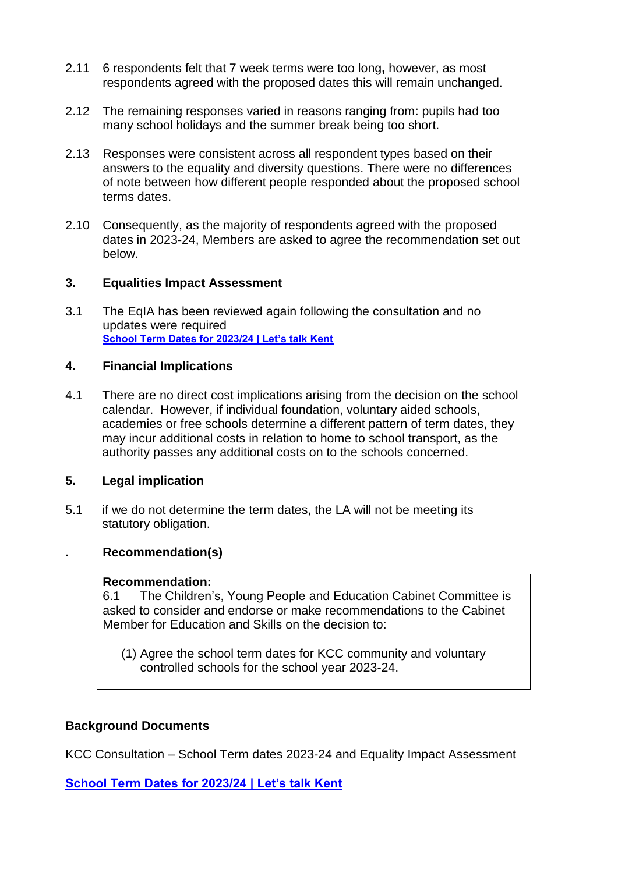- 2.11 6 respondents felt that 7 week terms were too long**,** however, as most respondents agreed with the proposed dates this will remain unchanged.
- 2.12 The remaining responses varied in reasons ranging from: pupils had too many school holidays and the summer break being too short.
- 2.13 Responses were consistent across all respondent types based on their answers to the equality and diversity questions. There were no differences of note between how different people responded about the proposed school terms dates.
- 2.10 Consequently, as the majority of respondents agreed with the proposed dates in 2023-24, Members are asked to agree the recommendation set out below.

### **3. Equalities Impact Assessment**

3.1 The EqIA has been reviewed again following the consultation and no updates were required **[School Term Dates for 2023/24 | Let's talk Kent](https://letstalk.kent.gov.uk/schooltermdates23-24)**

#### **4. Financial Implications**

4.1 There are no direct cost implications arising from the decision on the school calendar. However, if individual foundation, voluntary aided schools, academies or free schools determine a different pattern of term dates, they may incur additional costs in relation to home to school transport, as the authority passes any additional costs on to the schools concerned.

#### **5. Legal implication**

5.1 if we do not determine the term dates, the LA will not be meeting its statutory obligation.

### **. Recommendation(s)**

### **Recommendation:**

6.1 The Children's, Young People and Education Cabinet Committee is asked to consider and endorse or make recommendations to the Cabinet Member for Education and Skills on the decision to:

(1) Agree the school term dates for KCC community and voluntary controlled schools for the school year 2023-24.

#### **Background Documents**

KCC Consultation – School Term dates 2023-24 and Equality Impact Assessment

**[School Term Dates for 2023/24 | Let's talk Kent](https://letstalk.kent.gov.uk/schooltermdates23-24)**